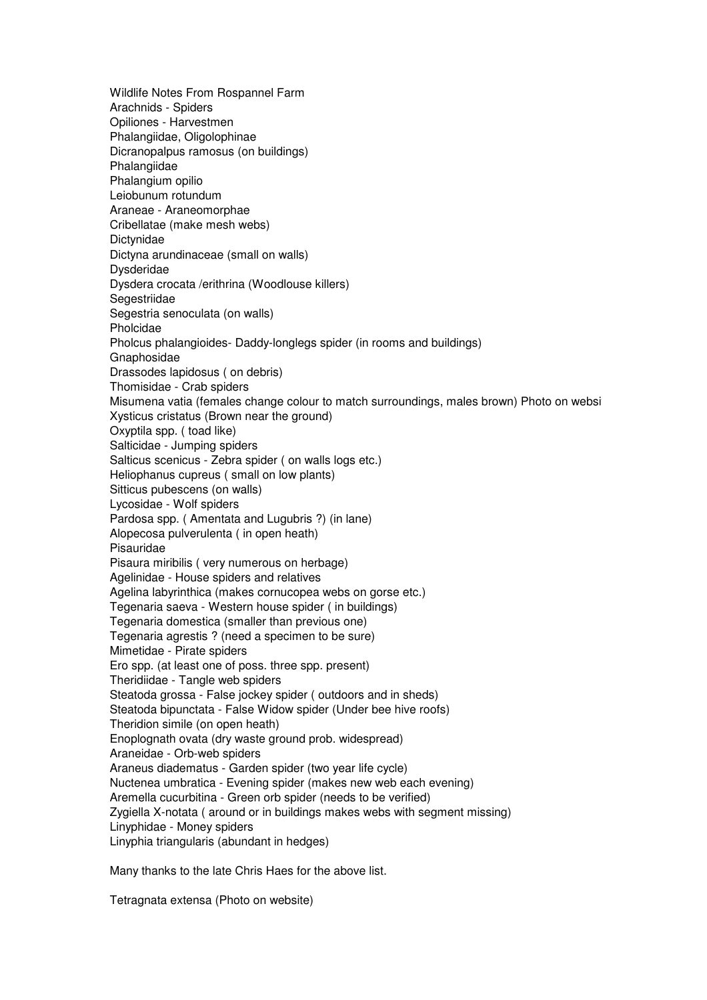Wildlife Notes From Rospannel Farm Arachnids - Spiders Opiliones - Harvestmen Phalangiidae, Oligolophinae Dicranopalpus ramosus (on buildings) Phalangiidae Phalangium opilio Leiobunum rotundum Araneae - Araneomorphae Cribellatae (make mesh webs) Dictynidae Dictyna arundinaceae (small on walls) Dysderidae Dysdera crocata /erithrina (Woodlouse killers) **Segestriidae** Segestria senoculata (on walls) Pholcidae Pholcus phalangioides- Daddy-longlegs spider (in rooms and buildings) Gnaphosidae Drassodes lapidosus ( on debris) Thomisidae - Crab spiders Misumena vatia (females change colour to match surroundings, males brown) Photo on websit Xysticus cristatus (Brown near the ground) Oxyptila spp. ( toad like) Salticidae - Jumping spiders Salticus scenicus - Zebra spider ( on walls logs etc.) Heliophanus cupreus ( small on low plants) Sitticus pubescens (on walls) Lycosidae - Wolf spiders Pardosa spp. ( Amentata and Lugubris ?) (in lane) Alopecosa pulverulenta ( in open heath) Pisauridae Pisaura miribilis ( very numerous on herbage) Agelinidae - House spiders and relatives Agelina labyrinthica (makes cornucopea webs on gorse etc.) Tegenaria saeva - Western house spider ( in buildings) Tegenaria domestica (smaller than previous one) Tegenaria agrestis ? (need a specimen to be sure) Mimetidae - Pirate spiders Ero spp. (at least one of poss. three spp. present) Theridiidae - Tangle web spiders Steatoda grossa - False jockey spider ( outdoors and in sheds) Steatoda bipunctata - False Widow spider (Under bee hive roofs) Theridion simile (on open heath) Enoplognath ovata (dry waste ground prob. widespread) Araneidae - Orb-web spiders Araneus diadematus - Garden spider (two year life cycle) Nuctenea umbratica - Evening spider (makes new web each evening) Aremella cucurbitina - Green orb spider (needs to be verified) Zygiella X-notata ( around or in buildings makes webs with segment missing) Linyphidae - Money spiders Linyphia triangularis (abundant in hedges)

Many thanks to the late Chris Haes for the above list.

Tetragnata extensa (Photo on website)